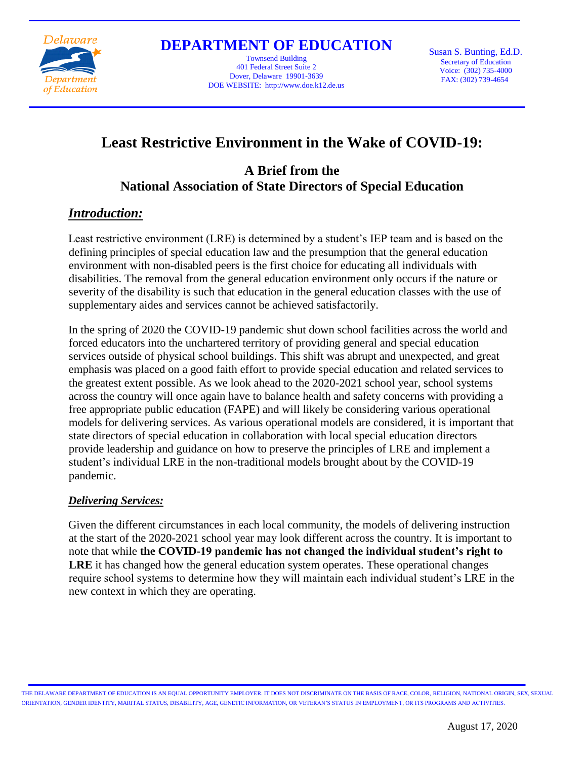

**DEPARTMENT OF EDUCATION**

Townsend Building 401 Federal Street Suite 2 Dover, Delaware 19901-3639 DOE WEBSITE: http://www.doe.k12.de.us Susan S. Bunting, Ed.D. Secretary of Education Voice: (302) 735-4000 FAX: (302) 739-4654

# **Least Restrictive Environment in the Wake of COVID-19:**

# **A Brief from the National Association of State Directors of Special Education**

## *Introduction:*

Least restrictive environment (LRE) is determined by a student's IEP team and is based on the defining principles of special education law and the presumption that the general education environment with non-disabled peers is the first choice for educating all individuals with disabilities. The removal from the general education environment only occurs if the nature or severity of the disability is such that education in the general education classes with the use of supplementary aides and services cannot be achieved satisfactorily.

In the spring of 2020 the COVID-19 pandemic shut down school facilities across the world and forced educators into the unchartered territory of providing general and special education services outside of physical school buildings. This shift was abrupt and unexpected, and great emphasis was placed on a good faith effort to provide special education and related services to the greatest extent possible. As we look ahead to the 2020-2021 school year, school systems across the country will once again have to balance health and safety concerns with providing a free appropriate public education (FAPE) and will likely be considering various operational models for delivering services. As various operational models are considered, it is important that state directors of special education in collaboration with local special education directors provide leadership and guidance on how to preserve the principles of LRE and implement a student's individual LRE in the non-traditional models brought about by the COVID-19 pandemic.

#### *Delivering Services:*

Given the different circumstances in each local community, the models of delivering instruction at the start of the 2020-2021 school year may look different across the country. It is important to note that while **the COVID-19 pandemic has not changed the individual student's right to LRE** it has changed how the general education system operates. These operational changes require school systems to determine how they will maintain each individual student's LRE in the new context in which they are operating.

THE DELAWARE DEPARTMENT OF EDUCATION IS AN EQUAL OPPORTUNITY EMPLOYER. IT DOES NOT DISCRIMINATE ON THE BASIS OF RACE, COLOR, RELIGION, NATIONAL ORIGIN, SEX, SEXUAL ORIENTATION, GENDER IDENTITY, MARITAL STATUS, DISABILITY, AGE, GENETIC INFORMATION, OR VETERAN'S STATUS IN EMPLOYMENT, OR ITS PROGRAMS AND ACTIVITIES.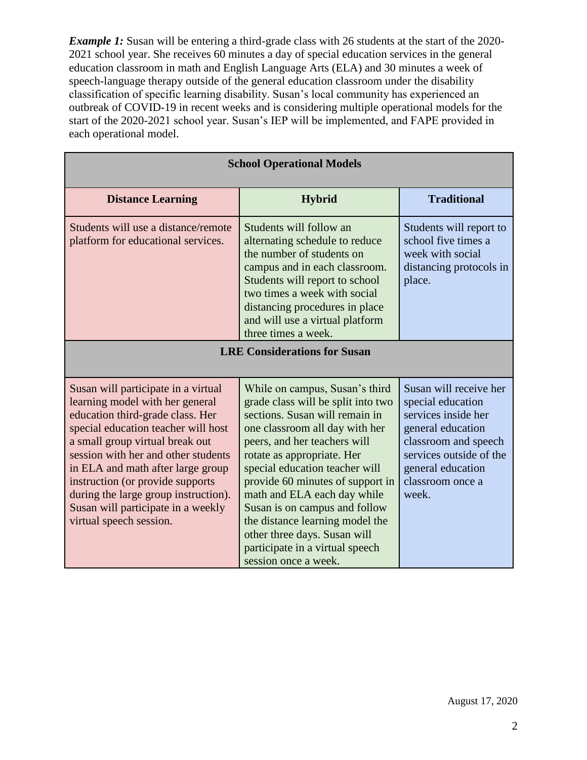*Example 1:* Susan will be entering a third-grade class with 26 students at the start of the 2020-2021 school year. She receives 60 minutes a day of special education services in the general education classroom in math and English Language Arts (ELA) and 30 minutes a week of speech-language therapy outside of the general education classroom under the disability classification of specific learning disability. Susan's local community has experienced an outbreak of COVID-19 in recent weeks and is considering multiple operational models for the start of the 2020-2021 school year. Susan's IEP will be implemented, and FAPE provided in each operational model.

| <b>School Operational Models</b>                                                                                                                                                                                                                                                                                                                                                                              |                                                                                                                                                                                                                                                                                                                                                                                                                                                                            |                                                                                                                                                                                              |  |  |
|---------------------------------------------------------------------------------------------------------------------------------------------------------------------------------------------------------------------------------------------------------------------------------------------------------------------------------------------------------------------------------------------------------------|----------------------------------------------------------------------------------------------------------------------------------------------------------------------------------------------------------------------------------------------------------------------------------------------------------------------------------------------------------------------------------------------------------------------------------------------------------------------------|----------------------------------------------------------------------------------------------------------------------------------------------------------------------------------------------|--|--|
| <b>Distance Learning</b>                                                                                                                                                                                                                                                                                                                                                                                      | <b>Hybrid</b>                                                                                                                                                                                                                                                                                                                                                                                                                                                              | <b>Traditional</b>                                                                                                                                                                           |  |  |
| Students will use a distance/remote<br>platform for educational services.                                                                                                                                                                                                                                                                                                                                     | Students will follow an<br>alternating schedule to reduce<br>the number of students on<br>campus and in each classroom.<br>Students will report to school<br>two times a week with social<br>distancing procedures in place<br>and will use a virtual platform<br>three times a week.                                                                                                                                                                                      | Students will report to<br>school five times a<br>week with social<br>distancing protocols in<br>place.                                                                                      |  |  |
| <b>LRE Considerations for Susan</b>                                                                                                                                                                                                                                                                                                                                                                           |                                                                                                                                                                                                                                                                                                                                                                                                                                                                            |                                                                                                                                                                                              |  |  |
| Susan will participate in a virtual<br>learning model with her general<br>education third-grade class. Her<br>special education teacher will host<br>a small group virtual break out<br>session with her and other students<br>in ELA and math after large group<br>instruction (or provide supports<br>during the large group instruction).<br>Susan will participate in a weekly<br>virtual speech session. | While on campus, Susan's third<br>grade class will be split into two<br>sections. Susan will remain in<br>one classroom all day with her<br>peers, and her teachers will<br>rotate as appropriate. Her<br>special education teacher will<br>provide 60 minutes of support in<br>math and ELA each day while<br>Susan is on campus and follow<br>the distance learning model the<br>other three days. Susan will<br>participate in a virtual speech<br>session once a week. | Susan will receive her<br>special education<br>services inside her<br>general education<br>classroom and speech<br>services outside of the<br>general education<br>classroom once a<br>week. |  |  |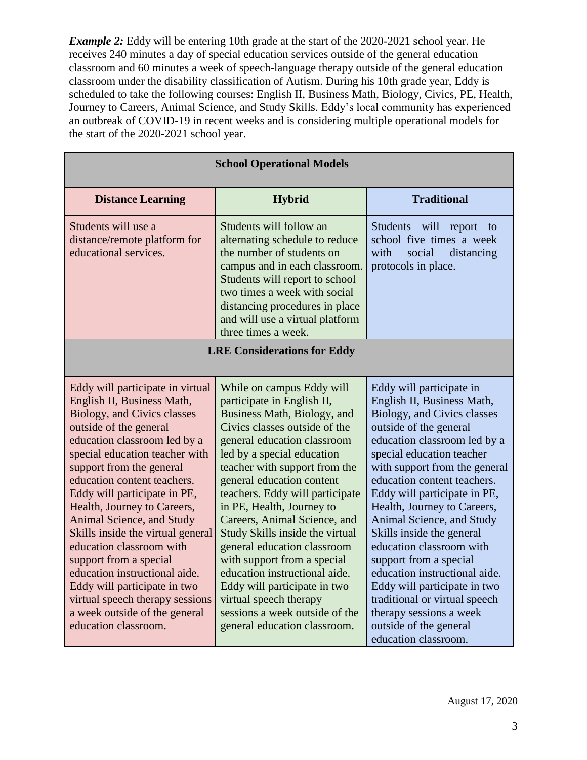*Example 2:* Eddy will be entering 10th grade at the start of the 2020-2021 school year. He receives 240 minutes a day of special education services outside of the general education classroom and 60 minutes a week of speech-language therapy outside of the general education classroom under the disability classification of Autism. During his 10th grade year, Eddy is scheduled to take the following courses: English II, Business Math, Biology, Civics, PE, Health, Journey to Careers, Animal Science, and Study Skills. Eddy's local community has experienced an outbreak of COVID-19 in recent weeks and is considering multiple operational models for the start of the 2020-2021 school year.

| <b>School Operational Models</b>                                                                                                                                                                                                                                                                                                                                                                                                                                                                                                                                                                         |                                                                                                                                                                                                                                                                                                                                                                                                                                                                                                                                                                                                                  |                                                                                                                                                                                                                                                                                                                                                                                                                                                                                                                                                                                                            |  |  |
|----------------------------------------------------------------------------------------------------------------------------------------------------------------------------------------------------------------------------------------------------------------------------------------------------------------------------------------------------------------------------------------------------------------------------------------------------------------------------------------------------------------------------------------------------------------------------------------------------------|------------------------------------------------------------------------------------------------------------------------------------------------------------------------------------------------------------------------------------------------------------------------------------------------------------------------------------------------------------------------------------------------------------------------------------------------------------------------------------------------------------------------------------------------------------------------------------------------------------------|------------------------------------------------------------------------------------------------------------------------------------------------------------------------------------------------------------------------------------------------------------------------------------------------------------------------------------------------------------------------------------------------------------------------------------------------------------------------------------------------------------------------------------------------------------------------------------------------------------|--|--|
| <b>Distance Learning</b>                                                                                                                                                                                                                                                                                                                                                                                                                                                                                                                                                                                 | <b>Hybrid</b>                                                                                                                                                                                                                                                                                                                                                                                                                                                                                                                                                                                                    | <b>Traditional</b>                                                                                                                                                                                                                                                                                                                                                                                                                                                                                                                                                                                         |  |  |
| Students will use a<br>distance/remote platform for<br>educational services.                                                                                                                                                                                                                                                                                                                                                                                                                                                                                                                             | Students will follow an<br>alternating schedule to reduce<br>the number of students on<br>campus and in each classroom.<br>Students will report to school<br>two times a week with social<br>distancing procedures in place<br>and will use a virtual platform<br>three times a week.                                                                                                                                                                                                                                                                                                                            | Students will<br>report<br>to<br>school five times a week<br>with<br>social<br>distancing<br>protocols in place.                                                                                                                                                                                                                                                                                                                                                                                                                                                                                           |  |  |
| <b>LRE Considerations for Eddy</b>                                                                                                                                                                                                                                                                                                                                                                                                                                                                                                                                                                       |                                                                                                                                                                                                                                                                                                                                                                                                                                                                                                                                                                                                                  |                                                                                                                                                                                                                                                                                                                                                                                                                                                                                                                                                                                                            |  |  |
| Eddy will participate in virtual<br>English II, Business Math,<br>Biology, and Civics classes<br>outside of the general<br>education classroom led by a<br>special education teacher with<br>support from the general<br>education content teachers.<br>Eddy will participate in PE,<br>Health, Journey to Careers,<br>Animal Science, and Study<br>Skills inside the virtual general<br>education classroom with<br>support from a special<br>education instructional aide.<br>Eddy will participate in two<br>virtual speech therapy sessions<br>a week outside of the general<br>education classroom. | While on campus Eddy will<br>participate in English II,<br>Business Math, Biology, and<br>Civics classes outside of the<br>general education classroom<br>led by a special education<br>teacher with support from the<br>general education content<br>teachers. Eddy will participate<br>in PE, Health, Journey to<br>Careers, Animal Science, and<br>Study Skills inside the virtual<br>general education classroom<br>with support from a special<br>education instructional aide.<br>Eddy will participate in two<br>virtual speech therapy<br>sessions a week outside of the<br>general education classroom. | Eddy will participate in<br>English II, Business Math,<br>Biology, and Civics classes<br>outside of the general<br>education classroom led by a<br>special education teacher<br>with support from the general<br>education content teachers.<br>Eddy will participate in PE,<br>Health, Journey to Careers,<br>Animal Science, and Study<br>Skills inside the general<br>education classroom with<br>support from a special<br>education instructional aide.<br>Eddy will participate in two<br>traditional or virtual speech<br>therapy sessions a week<br>outside of the general<br>education classroom. |  |  |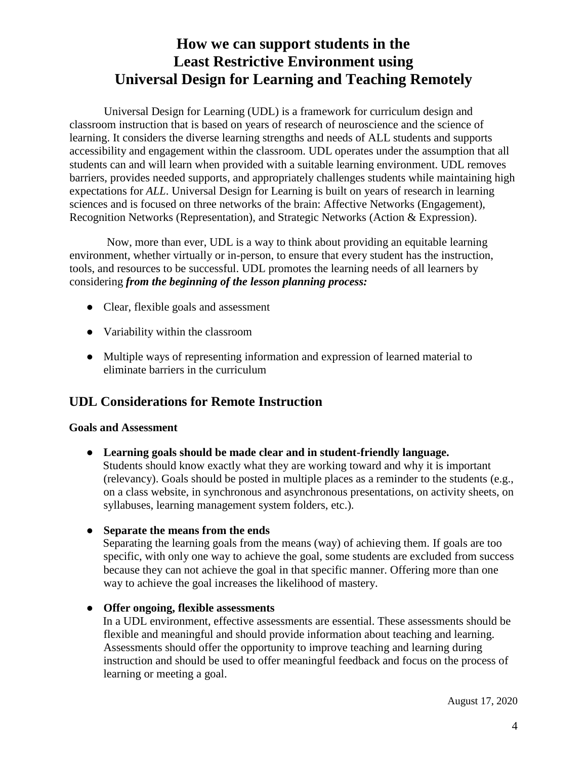# **How we can support students in the Least Restrictive Environment using Universal Design for Learning and Teaching Remotely**

Universal Design for Learning (UDL) is a framework for curriculum design and classroom instruction that is based on years of research of neuroscience and the science of learning. It considers the diverse learning strengths and needs of ALL students and supports accessibility and engagement within the classroom. UDL operates under the assumption that all students can and will learn when provided with a suitable learning environment. UDL removes barriers, provides needed supports, and appropriately challenges students while maintaining high expectations for *ALL*. Universal Design for Learning is built on years of research in learning sciences and is focused on three networks of the brain: Affective Networks (Engagement), Recognition Networks (Representation), and Strategic Networks (Action & Expression).

Now, more than ever, UDL is a way to think about providing an equitable learning environment, whether virtually or in-person, to ensure that every student has the instruction, tools, and resources to be successful. UDL promotes the learning needs of all learners by considering *from the beginning of the lesson planning process:*

- Clear, flexible goals and assessment
- Variability within the classroom
- Multiple ways of representing information and expression of learned material to eliminate barriers in the curriculum

## **UDL Considerations for Remote Instruction**

#### **Goals and Assessment**

● **Learning goals should be made clear and in student-friendly language.** Students should know exactly what they are working toward and why it is important (relevancy). Goals should be posted in multiple places as a reminder to the students (e.g., on a class website, in synchronous and asynchronous presentations, on activity sheets, on syllabuses, learning management system folders, etc.).

#### ● **Separate the means from the ends**

Separating the learning goals from the means (way) of achieving them. If goals are too specific, with only one way to achieve the goal, some students are excluded from success because they can not achieve the goal in that specific manner. Offering more than one way to achieve the goal increases the likelihood of mastery.

● **Offer ongoing, flexible assessments**

In a UDL environment, effective assessments are essential. These assessments should be flexible and meaningful and should provide information about teaching and learning. Assessments should offer the opportunity to improve teaching and learning during instruction and should be used to offer meaningful feedback and focus on the process of learning or meeting a goal.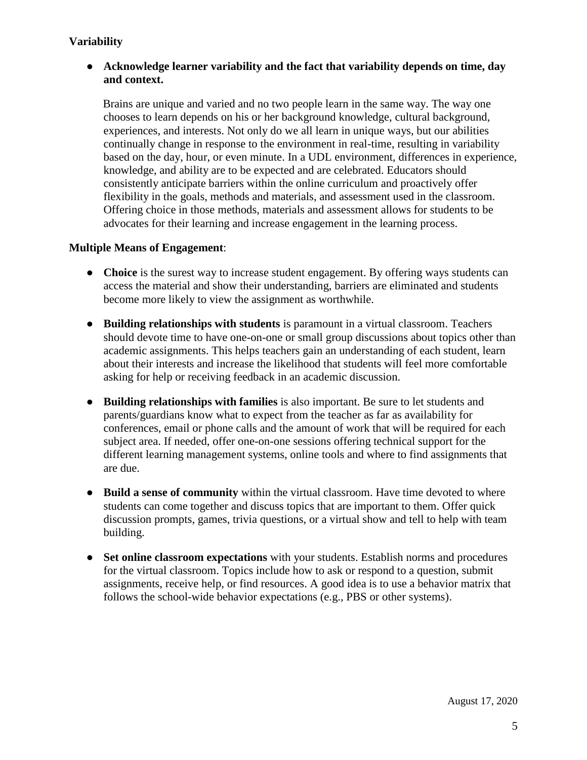## **Variability**

### ● **Acknowledge learner variability and the fact that variability depends on time, day and context.**

Brains are unique and varied and no two people learn in the same way. The way one chooses to learn depends on his or her background knowledge, cultural background, experiences, and interests. Not only do we all learn in unique ways, but our abilities continually change in response to the environment in real-time, resulting in variability based on the day, hour, or even minute. In a UDL environment, differences in experience, knowledge, and ability are to be expected and are celebrated. Educators should consistently anticipate barriers within the online curriculum and proactively offer flexibility in the goals, methods and materials, and assessment used in the classroom. Offering choice in those methods, materials and assessment allows for students to be advocates for their learning and increase engagement in the learning process.

#### **Multiple Means of Engagement**:

- **Choice** is the surest way to increase student engagement. By offering ways students can access the material and show their understanding, barriers are eliminated and students become more likely to view the assignment as worthwhile.
- **Building relationships with students** is paramount in a virtual classroom. Teachers should devote time to have one-on-one or small group discussions about topics other than academic assignments. This helps teachers gain an understanding of each student, learn about their interests and increase the likelihood that students will feel more comfortable asking for help or receiving feedback in an academic discussion.
- **Building relationships with families** is also important. Be sure to let students and parents/guardians know what to expect from the teacher as far as availability for conferences, email or phone calls and the amount of work that will be required for each subject area. If needed, offer one-on-one sessions offering technical support for the different learning management systems, online tools and where to find assignments that are due.
- **Build a sense of community** within the virtual classroom. Have time devoted to where students can come together and discuss topics that are important to them. Offer quick discussion prompts, games, trivia questions, or a virtual show and tell to help with team building.
- **Set online classroom expectations** with your students. Establish norms and procedures for the virtual classroom. Topics include how to ask or respond to a question, submit assignments, receive help, or find resources. A good idea is to use a behavior matrix that follows the school-wide behavior expectations (e.g., PBS or other systems).

August 17, 2020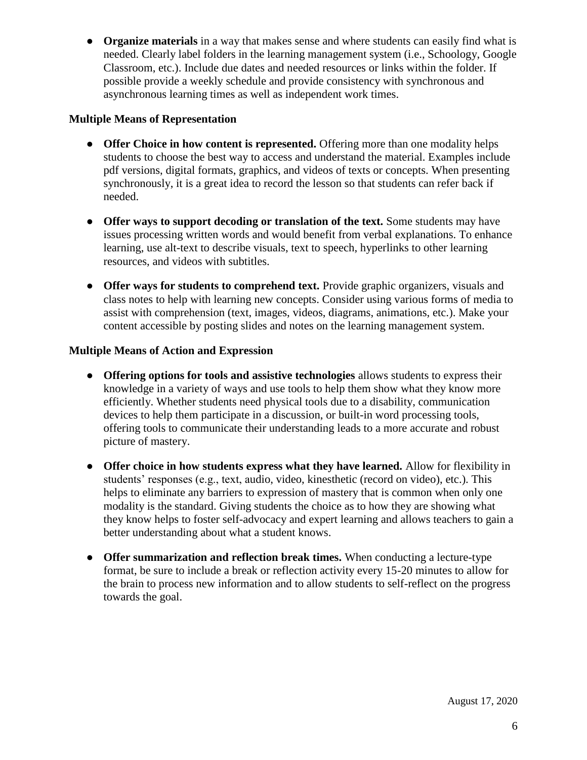**• Organize materials** in a way that makes sense and where students can easily find what is needed. Clearly label folders in the learning management system (i.e., Schoology, Google Classroom, etc.). Include due dates and needed resources or links within the folder. If possible provide a weekly schedule and provide consistency with synchronous and asynchronous learning times as well as independent work times.

#### **Multiple Means of Representation**

- **Offer Choice in how content is represented.** Offering more than one modality helps students to choose the best way to access and understand the material. Examples include pdf versions, digital formats, graphics, and videos of texts or concepts. When presenting synchronously, it is a great idea to record the lesson so that students can refer back if needed.
- **Offer ways to support decoding or translation of the text.** Some students may have issues processing written words and would benefit from verbal explanations. To enhance learning, use alt-text to describe visuals, text to speech, hyperlinks to other learning resources, and videos with subtitles.
- **Offer ways for students to comprehend text.** Provide graphic organizers, visuals and class notes to help with learning new concepts. Consider using various forms of media to assist with comprehension (text, images, videos, diagrams, animations, etc.). Make your content accessible by posting slides and notes on the learning management system.

## **Multiple Means of Action and Expression**

- **Offering options for tools and assistive technologies** allows students to express their knowledge in a variety of ways and use tools to help them show what they know more efficiently. Whether students need physical tools due to a disability, communication devices to help them participate in a discussion, or built-in word processing tools, offering tools to communicate their understanding leads to a more accurate and robust picture of mastery.
- **Offer choice in how students express what they have learned.** Allow for flexibility in students' responses (e.g., text, audio, video, kinesthetic (record on video), etc.). This helps to eliminate any barriers to expression of mastery that is common when only one modality is the standard. Giving students the choice as to how they are showing what they know helps to foster self-advocacy and expert learning and allows teachers to gain a better understanding about what a student knows.
- **Offer summarization and reflection break times.** When conducting a lecture-type format, be sure to include a break or reflection activity every 15-20 minutes to allow for the brain to process new information and to allow students to self-reflect on the progress towards the goal.